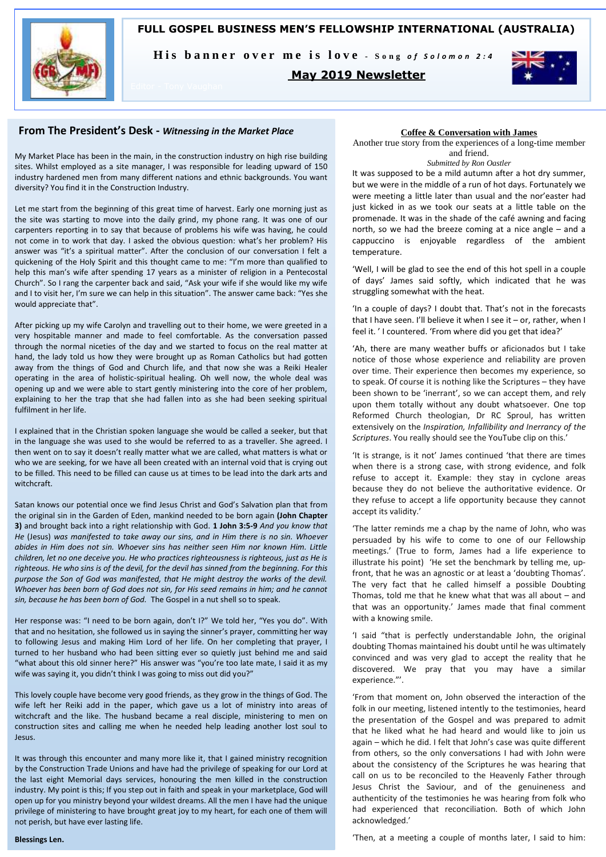

His banner over me is love - Song of Solomon 2:4

### **May 2019 Newsletter**



### **From The President's Desk -** *Witnessing in the Market Place*

My Market Place has been in the main, in the construction industry on high rise building sites. Whilst employed as a site manager, I was responsible for leading upward of 150 industry hardened men from many different nations and ethnic backgrounds. You want diversity? You find it in the Construction Industry.

Let me start from the beginning of this great time of harvest. Early one morning just as the site was starting to move into the daily grind, my phone rang. It was one of our carpenters reporting in to say that because of problems his wife was having, he could not come in to work that day. I asked the obvious question: what's her problem? His answer was "it's a spiritual matter". After the conclusion of our conversation I felt a quickening of the Holy Spirit and this thought came to me: "I'm more than qualified to help this man's wife after spending 17 years as a minister of religion in a Pentecostal Church". So I rang the carpenter back and said, "Ask your wife if she would like my wife and I to visit her, I'm sure we can help in this situation". The answer came back: "Yes she would appreciate that".

After picking up my wife Carolyn and travelling out to their home, we were greeted in a very hospitable manner and made to feel comfortable. As the conversation passed through the normal niceties of the day and we started to focus on the real matter at hand, the lady told us how they were brought up as Roman Catholics but had gotten away from the things of God and Church life, and that now she was a Reiki Healer operating in the area of holistic-spiritual healing. Oh well now, the whole deal was opening up and we were able to start gently ministering into the core of her problem, explaining to her the trap that she had fallen into as she had been seeking spiritual fulfilment in her life.

I explained that in the Christian spoken language she would be called a seeker, but that in the language she was used to she would be referred to as a traveller. She agreed. I then went on to say it doesn't really matter what we are called, what matters is what or who we are seeking, for we have all been created with an internal void that is crying out to be filled. This need to be filled can cause us at times to be lead into the dark arts and witchcraft.

Satan knows our potential once we find Jesus Christ and God's Salvation plan that from the original sin in the Garden of Eden, mankind needed to be born again **(John Chapter 3)** and brought back into a right relationship with God. **1 John 3:5-9** *And you know that He* (Jesus) *was manifested to take away our sins, and in Him there is no sin. Whoever abides in Him does not sin. Whoever sins has neither seen Him nor known Him. Little children, let no one deceive you. He who practices righteousness is righteous, just as He is righteous. He who sins is of the devil, for the devil has sinned from the beginning. For this purpose the Son of God was manifested, that He might destroy the works of the devil. Whoever has been born of God does not sin, for His seed remains in him; and he cannot sin, because he has been born of God.* The Gospel in a nut shell so to speak.

Her response was: "I need to be born again, don't I?" We told her, "Yes you do". With that and no hesitation, she followed us in saying the sinner's prayer, committing her way to following Jesus and making Him Lord of her life. On her completing that prayer, I turned to her husband who had been sitting ever so quietly just behind me and said "what about this old sinner here?" His answer was "you're too late mate, I said it as my wife was saying it, you didn't think I was going to miss out did you?"

This lovely couple have become very good friends, as they grow in the things of God. The wife left her Reiki add in the paper, which gave us a lot of ministry into areas of witchcraft and the like. The husband became a real disciple, ministering to men on construction sites and calling me when he needed help leading another lost soul to Jesus.

It was through this encounter and many more like it, that I gained ministry recognition by the Construction Trade Unions and have had the privilege of speaking for our Lord at the last eight Memorial days services, honouring the men killed in the construction industry. My point is this; If you step out in faith and speak in your marketplace, God will open up for you ministry beyond your wildest dreams. All the men I have had the unique privilege of ministering to have brought great joy to my heart, for each one of them will not perish, but have ever lasting life.

#### **Coffee & Conversation with James**

Another true story from the experiences of a long-time member and friend.

#### *Submitted by Ron Oastler*

It was supposed to be a mild autumn after a hot dry summer, but we were in the middle of a run of hot days. Fortunately we were meeting a little later than usual and the nor'easter had just kicked in as we took our seats at a little table on the promenade. It was in the shade of the café awning and facing north, so we had the breeze coming at a nice angle – and a cappuccino is enjoyable regardless of the ambient temperature.

'Well, I will be glad to see the end of this hot spell in a couple of days' James said softly, which indicated that he was struggling somewhat with the heat.

'In a couple of days? I doubt that. That's not in the forecasts that I have seen. I'll believe it when I see it – or, rather, when I feel it. ' I countered. 'From where did you get that idea?'

'Ah, there are many weather buffs or aficionados but I take notice of those whose experience and reliability are proven over time. Their experience then becomes my experience, so to speak. Of course it is nothing like the Scriptures – they have been shown to be 'inerrant', so we can accept them, and rely upon them totally without any doubt whatsoever. One top Reformed Church theologian, Dr RC Sproul, has written extensively on the *Inspiration, Infallibility and Inerrancy of the Scriptures*. You really should see the YouTube clip on this.'

'It is strange, is it not' James continued 'that there are times when there is a strong case, with strong evidence, and folk refuse to accept it. Example: they stay in cyclone areas because they do not believe the authoritative evidence. Or they refuse to accept a life opportunity because they cannot accept its validity.'

'The latter reminds me a chap by the name of John, who was persuaded by his wife to come to one of our Fellowship meetings.' (True to form, James had a life experience to illustrate his point) 'He set the benchmark by telling me, upfront, that he was an agnostic or at least a 'doubting Thomas'. The very fact that he called himself a possible Doubting Thomas, told me that he knew what that was all about – and that was an opportunity.' James made that final comment with a knowing smile.

'I said "that is perfectly understandable John, the original doubting Thomas maintained his doubt until he was ultimately convinced and was very glad to accept the reality that he discovered. We pray that you may have a similar experience."'.

'From that moment on, John observed the interaction of the folk in our meeting, listened intently to the testimonies, heard the presentation of the Gospel and was prepared to admit that he liked what he had heard and would like to join us again – which he did. I felt that John's case was quite different from others, so the only conversations I had with John were about the consistency of the Scriptures he was hearing that call on us to be reconciled to the Heavenly Father through Jesus Christ the Saviour, and of the genuineness and authenticity of the testimonies he was hearing from folk who had experienced that reconciliation. Both of which John acknowledged.'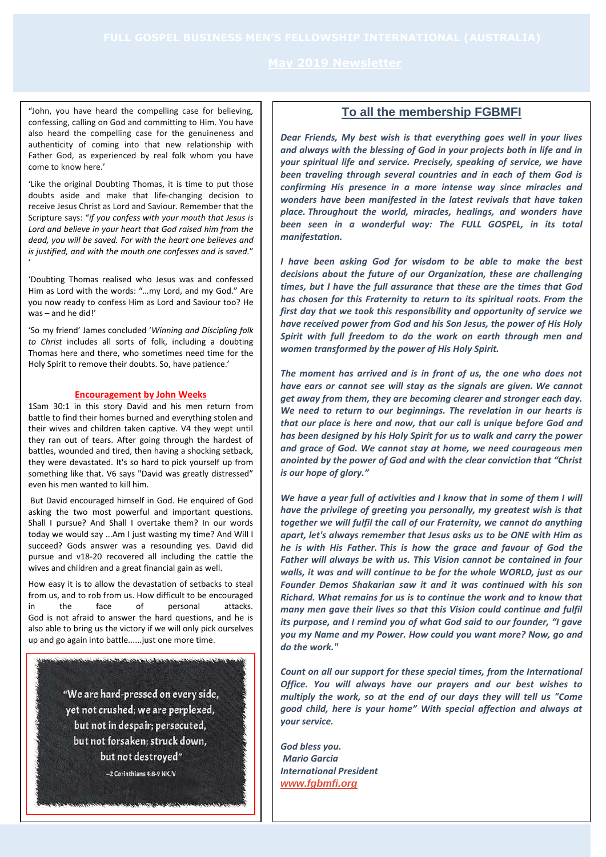"John, you have heard the compelling case for believing, confessing, calling on God and committing to Him. You have also heard the compelling case for the genuineness and authenticity of coming into that new relationship with Father God, as experienced by real folk whom you have come to know here.'

'Like the original Doubting Thomas, it is time to put those doubts aside and make that life-changing decision to receive Jesus Christ as Lord and Saviour. Remember that the Scripture says: "*if you confess with your mouth that Jesus is Lord and believe in your heart that God raised him from the dead, you will be saved. For with the heart one believes and is justified, and with the mouth one confesses and is saved.*" '

'Doubting Thomas realised who Jesus was and confessed Him as Lord with the words: "…my Lord, and my God." Are you now ready to confess Him as Lord and Saviour too? He was – and he did!'

'So my friend' James concluded '*Winning and Discipling folk to Christ* includes all sorts of folk, including a doubting Thomas here and there, who sometimes need time for the Holy Spirit to remove their doubts. So, have patience.'

#### **Encouragement by John Weeks**

1Sam 30:1 in this story David and his men return from battle to find their homes burned and everything stolen and their wives and children taken captive. V4 they wept until they ran out of tears. After going through the hardest of battles, wounded and tired, then having a shocking setback, they were devastated. It's so hard to pick yourself up from something like that. V6 says "David was greatly distressed" even his men wanted to kill him.

But David encouraged himself in God. He enquired of God asking the two most powerful and important questions. Shall I pursue? And Shall I overtake them? In our words today we would say ...Am I just wasting my time? And Will I succeed? Gods answer was a resounding yes. David did pursue and v18-20 recovered all including the cattle the wives and children and a great financial gain as well.

How easy it is to allow the devastation of setbacks to steal from us, and to rob from us. How difficult to be encouraged in the face of personal attacks. God is not afraid to answer the hard questions, and he is also able to bring us the victory if we will only pick ourselves up and go again into battle......just one more time.

<u> Martinist Carpet and Martin Andre Post-Alexander and </u>

"We are hard-pressed on every side, yet not crushed; we are perplexed, but not in despair: persecuted, but not forsaken; struck down, but not destroyed"

-2 Corinthians 4:8-9 NKJV

### **To all the membership FGBMFI**

*Dear Friends, My best wish is that everything goes well in your lives and always with the blessing of God in your projects both in life and in your spiritual life and service. Precisely, speaking of service, we have been traveling through several countries and in each of them God is confirming His presence in a more intense way since miracles and wonders have been manifested in the latest revivals that have taken place. Throughout the world, miracles, healings, and wonders have*  been seen in a wonderful way: The FULL GOSPEL, in its total *manifestation.*

*I have been asking God for wisdom to be able to make the best decisions about the future of our Organization, these are challenging times, but I have the full assurance that these are the times that God has chosen for this Fraternity to return to its spiritual roots. From the first day that we took this responsibility and opportunity of service we have received power from God and his Son Jesus, the power of His Holy Spirit with full freedom to do the work on earth through men and women transformed by the power of His Holy Spirit.*

*The moment has arrived and is in front of us, the one who does not have ears or cannot see will stay as the signals are given. We cannot get away from them, they are becoming clearer and stronger each day. We need to return to our beginnings. The revelation in our hearts is that our place is here and now, that our call is unique before God and has been designed by his Holy Spirit for us to walk and carry the power and grace of God. We cannot stay at home, we need courageous men anointed by the power of God and with the clear conviction that "Christ is our hope of glory."*

*We have a year full of activities and I know that in some of them I will have the privilege of greeting you personally, my greatest wish is that together we will fulfil the call of our Fraternity, we cannot do anything apart, let's always remember that Jesus asks us to be ONE with Him as he is with His Father. This is how the grace and favour of God the Father will always be with us. This Vision cannot be contained in four walls, it was and will continue to be for the whole WORLD, just as our Founder Demos Shakarian saw it and it was continued with his son Richard. What remains for us is to continue the work and to know that many men gave their lives so that this Vision could continue and fulfil its purpose, and I remind you of what God said to our founder, "I gave you my Name and my Power. How could you want more? Now, go and do the work."*

*Count on all our support for these special times, from the International Office. You will always have our prayers and our best wishes to multiply the work, so at the end of our days they will tell us "Come good child, here is your home" With special affection and always at your service.*

*God bless you. Mario Garcia International President [www.fgbmfi.org](http://r20.rs6.net/tn.jsp?f=001tZw21N3rbknn973EdoL0FEfsmQTZBe26r1gvqeTZvWR-RkmsNS8Sb6sJFsvJWopR5p7Oxn4LjyF0GrN0P_BZ3PpXfW8Vy32GZrBfXpDa9npnjpU_rZbXLiLy8GkCzuV1FiDHQUjG1kY=&c=_PbiN7owfg_7PbtY08fCYp4wCVEe9s0PVCD-BREtsM208fX0B9Yi4A==&ch=osCIDq_5Jf_Uij83qqyvyK0FLgga9jqlrgv91LOyJkck-P7Epp4fzA==)*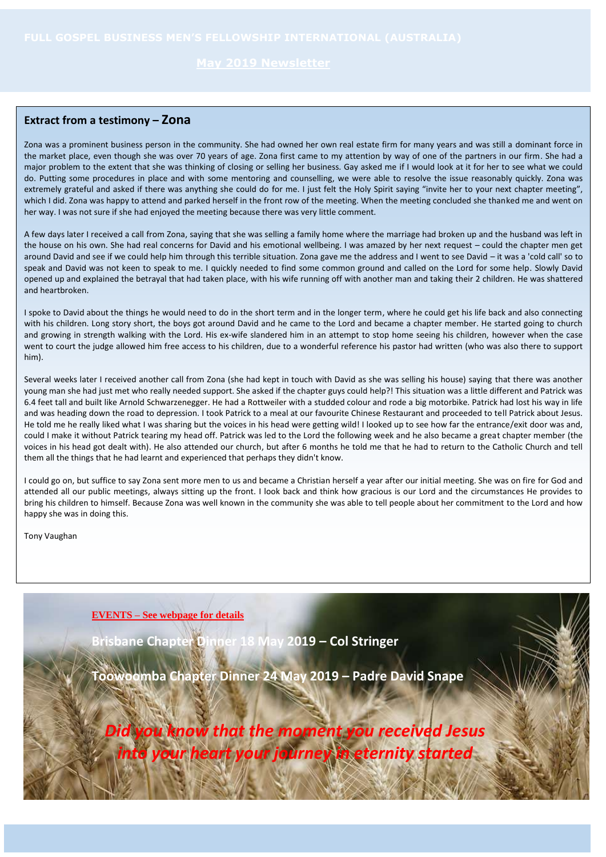### **Extract from a testimony – Zona**

Zona was a prominent business person in the community. She had owned her own real estate firm for many years and was still a dominant force in the market place, even though she was over 70 years of age. Zona first came to my attention by way of one of the partners in our firm. She had a major problem to the extent that she was thinking of closing or selling her business. Gay asked me if I would look at it for her to see what we could do. Putting some procedures in place and with some mentoring and counselling, we were able to resolve the issue reasonably quickly. Zona was extremely grateful and asked if there was anything she could do for me. I just felt the Holy Spirit saying "invite her to your next chapter meeting", which I did. Zona was happy to attend and parked herself in the front row of the meeting. When the meeting concluded she thanked me and went on her way. I was not sure if she had enjoyed the meeting because there was very little comment.

A few days later I received a call from Zona, saying that she was selling a family home where the marriage had broken up and the husband was left in the house on his own. She had real concerns for David and his emotional wellbeing. I was amazed by her next request – could the chapter men get around David and see if we could help him through this terrible situation. Zona gave me the address and I went to see David – it was a 'cold call' so to speak and David was not keen to speak to me. I quickly needed to find some common ground and called on the Lord for some help. Slowly David opened up and explained the betrayal that had taken place, with his wife running off with another man and taking their 2 children. He was shattered and heartbroken.

I spoke to David about the things he would need to do in the short term and in the longer term, where he could get his life back and also connecting with his children. Long story short, the boys got around David and he came to the Lord and became a chapter member. He started going to church and growing in strength walking with the Lord. His ex-wife slandered him in an attempt to stop home seeing his children, however when the case went to court the judge allowed him free access to his children, due to a wonderful reference his pastor had written (who was also there to support him).

Several weeks later I received another call from Zona (she had kept in touch with David as she was selling his house) saying that there was another young man she had just met who really needed support. She asked if the chapter guys could help?! This situation was a little different and Patrick was 6.4 feet tall and built like Arnold Schwarzenegger. He had a Rottweiler with a studded colour and rode a big motorbike. Patrick had lost his way in life and was heading down the road to depression. I took Patrick to a meal at our favourite Chinese Restaurant and proceeded to tell Patrick about Jesus. He told me he really liked what I was sharing but the voices in his head were getting wild! I looked up to see how far the entrance/exit door was and, could I make it without Patrick tearing my head off. Patrick was led to the Lord the following week and he also became a great chapter member (the voices in his head got dealt with). He also attended our church, but after 6 months he told me that he had to return to the Catholic Church and tell them all the things that he had learnt and experienced that perhaps they didn't know.

I could go on, but suffice to say Zona sent more men to us and became a Christian herself a year after our initial meeting. She was on fire for God and attended all our public meetings, always sitting up the front. I look back and think how gracious is our Lord and the circumstances He provides to bring his children to himself. Because Zona was well known in the community she was able to tell people about her commitment to the Lord and how happy she was in doing this.

Tony Vaughan

**EVENTS – See webpage for details**

**Brisbane Chapter Dinner 18 May 2019 – Col Stringer**

**Toowoomba Chapter Dinner 24 May 2019 – Padre David Snape**

*Did you know that the moment you received Jesus into your heart your journey in eternity started*